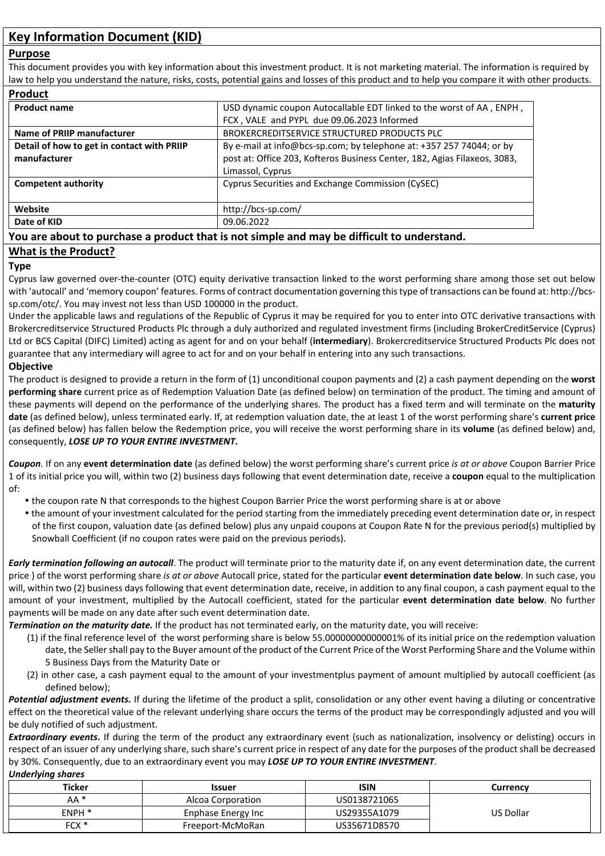# **Key Information Document (KID)**

#### **Purpose**

This document provides you with key information about this investment product. It is not marketing material. The information is required by law to help you understand the nature, risks, costs, potential gains and losses of this product and to help you compare it with other products.

| <b>Product</b>                             |                                                                           |  |
|--------------------------------------------|---------------------------------------------------------------------------|--|
| <b>Product name</b>                        | USD dynamic coupon Autocallable EDT linked to the worst of AA, ENPH,      |  |
|                                            | FCX, VALE and PYPL due 09.06.2023 Informed                                |  |
| Name of PRIIP manufacturer                 | BROKERCREDITSERVICE STRUCTURED PRODUCTS PLC                               |  |
| Detail of how to get in contact with PRIIP | By e-mail at info@bcs-sp.com; by telephone at: +357 257 74044; or by      |  |
| manufacturer                               | post at: Office 203, Kofteros Business Center, 182, Agias Filaxeos, 3083, |  |
|                                            | Limassol, Cyprus                                                          |  |
| <b>Competent authority</b>                 | Cyprus Securities and Exchange Commission (CySEC)                         |  |
| Website                                    | http://bcs-sp.com/                                                        |  |
| Date of KID                                | 09.06.2022                                                                |  |

## **You are about to purchase a product that is not simple and may be difficult to understand.**

## **What is the Product?**

#### **Type**

Cyprus law governed over-the-counter (OTC) equity derivative transaction linked to the worst performing share among those set out below with 'autocall' and 'memory coupon' features. Forms of contract documentation governing this type of transactions can be found at: http://bcssp.com/otc/. You may invest not less than USD 100000 in the product.

Under the applicable laws and regulations of the Republic of Cyprus it may be required for you to enter into OTC derivative transactions with Brokercreditservice Structured Products Plc through a duly authorized and regulated investment firms (including BrokerCreditService (Cyprus) Ltd or BCS Capital (DIFC) Limited) acting as agent for and on your behalf (**intermediary**). Brokercreditservice Structured Products Plc does not guarantee that any intermediary will agree to act for and on your behalf in entering into any such transactions.

#### **Objective**

The product is designed to provide a return in the form of (1) unconditional coupon payments and (2) a cash payment depending on the **worst performing share** current price as of Redemption Valuation Date (as defined below) on termination of the product. The timing and amount of these payments will depend on the performance of the underlying shares. The product has a fixed term and will terminate on the **maturity date** (as defined below), unless terminated early. If, at redemption valuation date, the at least 1 of the worst performing share's **current price** (as defined below) has fallen below the Redemption price, you will receive the worst performing share in its **volume** (as defined below) and, consequently, *LOSE UP TO YOUR ENTIRE INVESTMENT***.** 

*Coupon*. If on any **event determination date** (as defined below) the worst performing share's current price *is at or above* Coupon Barrier Price 1 of its initial price you will, within two (2) business days following that event determination date, receive a **coupon** equal to the multiplication of:

- the coupon rate N that corresponds to the highest Coupon Barrier Price the worst performing share is at or above
- the amount of your investment calculated for the period starting from the immediately preceding event determination date or, in respect of the first coupon, valuation date (as defined below) plus any unpaid coupons at Coupon Rate N for the previous period(s) multiplied by Snowball Coefficient (if no coupon rates were paid on the previous periods).

*Early termination following an autocall*. The product will terminate prior to the maturity date if, on any event determination date, the current price ) of the worst performing share *is at or above* Autocall price, stated for the particular **event determination date below**. In such case, you will, within two (2) business days following that event determination date, receive, in addition to any final coupon, a cash payment equal to the amount of your investment, multiplied by the Autocall coefficient, stated for the particular **event determination date below**. No further payments will be made on any date after such event determination date.

*Termination on the maturity date.* If the product has not terminated early, on the maturity date, you will receive:

- (1) if the final reference level of the worst performing share is below 55.00000000000001% of its initial price on the redemption valuation date, the Seller shall pay to the Buyer amount of the product of the Current Price of the Worst Performing Share and the Volume within 5 Business Days from the Maturity Date or
- (2) in other case, a cash payment equal to the amount of your investmentplus payment of amount multiplied by autocall coefficient (as defined below);

*Potential adjustment events.* If during the lifetime of the product a split, consolidation or any other event having a diluting or concentrative effect on the theoretical value of the relevant underlying share occurs the terms of the product may be correspondingly adjusted and you will be duly notified of such adjustment.

**Extraordinary events.** If during the term of the product any extraordinary event (such as nationalization, insolvency or delisting) occurs in respect of an issuer of any underlying share, such share's current price in respect of any date for the purposes of the product shall be decreased by 30%. Consequently, due to an extraordinary event you may *LOSE UP TO YOUR ENTIRE INVESTMENT*.

#### *Underlying shares*

| <b>Ticker</b>   | <b>Issuer</b>      | <b>ISIN</b>  | Currencv  |
|-----------------|--------------------|--------------|-----------|
| AA <sup>*</sup> | Alcoa Corporation  | US0138721065 |           |
| ENPH *          | Enphase Energy Inc | US29355A1079 | US Dollar |
| FCX *           | Freeport-McMoRan   | US35671D8570 |           |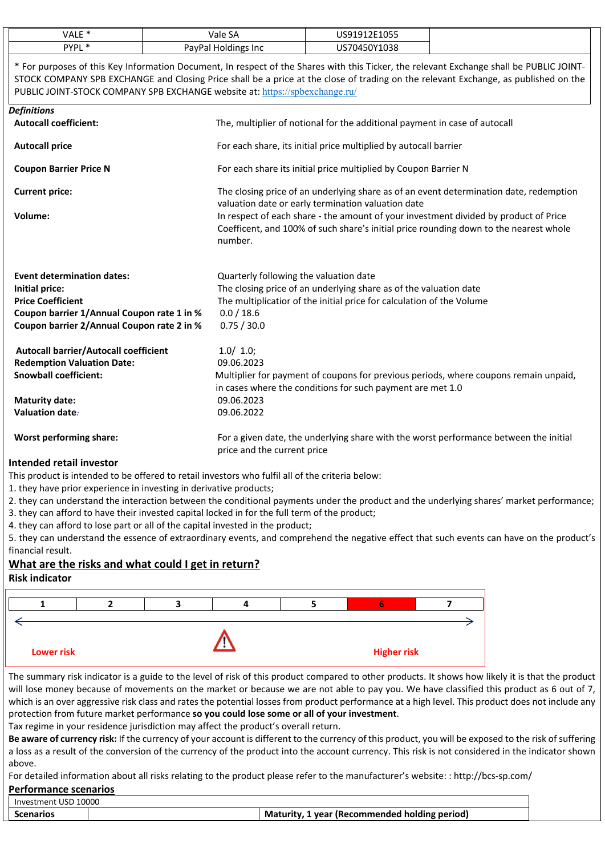| VALE <sup>*</sup><br>Vale SA<br>US91912E1055<br>PYPL *<br>PayPal Holdings Inc<br>US70450Y1038<br>* For purposes of this Key Information Document, In respect of the Shares with this Ticker, the relevant Exchange shall be PUBLIC JOINT-<br>STOCK COMPANY SPB EXCHANGE and Closing Price shall be a price at the close of trading on the relevant Exchange, as published on the<br>PUBLIC JOINT-STOCK COMPANY SPB EXCHANGE website at: https://spbexchange.ru/<br><b>Definitions</b><br><b>Autocall coefficient:</b><br>The, multiplier of notional for the additional payment in case of autocall<br>For each share, its initial price multiplied by autocall barrier<br><b>Autocall price</b><br>For each share its initial price multiplied by Coupon Barrier N<br><b>Coupon Barrier Price N</b><br><b>Current price:</b><br>The closing price of an underlying share as of an event determination date, redemption<br>valuation date or early termination valuation date<br>In respect of each share - the amount of your investment divided by product of Price<br>Volume:<br>Coefficent, and 100% of such share's initial price rounding down to the nearest whole<br>number.<br><b>Event determination dates:</b><br>Quarterly following the valuation date<br>The closing price of an underlying share as of the valuation date<br><b>Initial price:</b><br>The multiplicatior of the initial price for calculation of the Volume<br><b>Price Coefficient</b><br>Coupon barrier 1/Annual Coupon rate 1 in %<br>0.0 / 18.6<br>Coupon barrier 2/Annual Coupon rate 2 in %<br>0.75 / 30.0<br><b>Autocall barrier/Autocall coefficient</b><br>1.0/ 1.0;<br><b>Redemption Valuation Date:</b><br>09.06.2023<br><b>Snowball coefficient:</b><br>Multiplier for payment of coupons for previous periods, where coupons remain unpaid,<br>in cases where the conditions for such payment are met 1.0<br>09.06.2023<br><b>Maturity date:</b><br>Valuation date:<br>09.06.2022<br><b>Worst performing share:</b><br>For a given date, the underlying share with the worst performance between the initial<br>price and the current price<br>Intondod rotail invoctor |  |  |
|---------------------------------------------------------------------------------------------------------------------------------------------------------------------------------------------------------------------------------------------------------------------------------------------------------------------------------------------------------------------------------------------------------------------------------------------------------------------------------------------------------------------------------------------------------------------------------------------------------------------------------------------------------------------------------------------------------------------------------------------------------------------------------------------------------------------------------------------------------------------------------------------------------------------------------------------------------------------------------------------------------------------------------------------------------------------------------------------------------------------------------------------------------------------------------------------------------------------------------------------------------------------------------------------------------------------------------------------------------------------------------------------------------------------------------------------------------------------------------------------------------------------------------------------------------------------------------------------------------------------------------------------------------------------------------------------------------------------------------------------------------------------------------------------------------------------------------------------------------------------------------------------------------------------------------------------------------------------------------------------------------------------------------------------------------------------------------------------------------------------------------------------------------------------|--|--|
|                                                                                                                                                                                                                                                                                                                                                                                                                                                                                                                                                                                                                                                                                                                                                                                                                                                                                                                                                                                                                                                                                                                                                                                                                                                                                                                                                                                                                                                                                                                                                                                                                                                                                                                                                                                                                                                                                                                                                                                                                                                                                                                                                                     |  |  |
|                                                                                                                                                                                                                                                                                                                                                                                                                                                                                                                                                                                                                                                                                                                                                                                                                                                                                                                                                                                                                                                                                                                                                                                                                                                                                                                                                                                                                                                                                                                                                                                                                                                                                                                                                                                                                                                                                                                                                                                                                                                                                                                                                                     |  |  |
|                                                                                                                                                                                                                                                                                                                                                                                                                                                                                                                                                                                                                                                                                                                                                                                                                                                                                                                                                                                                                                                                                                                                                                                                                                                                                                                                                                                                                                                                                                                                                                                                                                                                                                                                                                                                                                                                                                                                                                                                                                                                                                                                                                     |  |  |
|                                                                                                                                                                                                                                                                                                                                                                                                                                                                                                                                                                                                                                                                                                                                                                                                                                                                                                                                                                                                                                                                                                                                                                                                                                                                                                                                                                                                                                                                                                                                                                                                                                                                                                                                                                                                                                                                                                                                                                                                                                                                                                                                                                     |  |  |
|                                                                                                                                                                                                                                                                                                                                                                                                                                                                                                                                                                                                                                                                                                                                                                                                                                                                                                                                                                                                                                                                                                                                                                                                                                                                                                                                                                                                                                                                                                                                                                                                                                                                                                                                                                                                                                                                                                                                                                                                                                                                                                                                                                     |  |  |
|                                                                                                                                                                                                                                                                                                                                                                                                                                                                                                                                                                                                                                                                                                                                                                                                                                                                                                                                                                                                                                                                                                                                                                                                                                                                                                                                                                                                                                                                                                                                                                                                                                                                                                                                                                                                                                                                                                                                                                                                                                                                                                                                                                     |  |  |
|                                                                                                                                                                                                                                                                                                                                                                                                                                                                                                                                                                                                                                                                                                                                                                                                                                                                                                                                                                                                                                                                                                                                                                                                                                                                                                                                                                                                                                                                                                                                                                                                                                                                                                                                                                                                                                                                                                                                                                                                                                                                                                                                                                     |  |  |
|                                                                                                                                                                                                                                                                                                                                                                                                                                                                                                                                                                                                                                                                                                                                                                                                                                                                                                                                                                                                                                                                                                                                                                                                                                                                                                                                                                                                                                                                                                                                                                                                                                                                                                                                                                                                                                                                                                                                                                                                                                                                                                                                                                     |  |  |
|                                                                                                                                                                                                                                                                                                                                                                                                                                                                                                                                                                                                                                                                                                                                                                                                                                                                                                                                                                                                                                                                                                                                                                                                                                                                                                                                                                                                                                                                                                                                                                                                                                                                                                                                                                                                                                                                                                                                                                                                                                                                                                                                                                     |  |  |
|                                                                                                                                                                                                                                                                                                                                                                                                                                                                                                                                                                                                                                                                                                                                                                                                                                                                                                                                                                                                                                                                                                                                                                                                                                                                                                                                                                                                                                                                                                                                                                                                                                                                                                                                                                                                                                                                                                                                                                                                                                                                                                                                                                     |  |  |
|                                                                                                                                                                                                                                                                                                                                                                                                                                                                                                                                                                                                                                                                                                                                                                                                                                                                                                                                                                                                                                                                                                                                                                                                                                                                                                                                                                                                                                                                                                                                                                                                                                                                                                                                                                                                                                                                                                                                                                                                                                                                                                                                                                     |  |  |
|                                                                                                                                                                                                                                                                                                                                                                                                                                                                                                                                                                                                                                                                                                                                                                                                                                                                                                                                                                                                                                                                                                                                                                                                                                                                                                                                                                                                                                                                                                                                                                                                                                                                                                                                                                                                                                                                                                                                                                                                                                                                                                                                                                     |  |  |
|                                                                                                                                                                                                                                                                                                                                                                                                                                                                                                                                                                                                                                                                                                                                                                                                                                                                                                                                                                                                                                                                                                                                                                                                                                                                                                                                                                                                                                                                                                                                                                                                                                                                                                                                                                                                                                                                                                                                                                                                                                                                                                                                                                     |  |  |
|                                                                                                                                                                                                                                                                                                                                                                                                                                                                                                                                                                                                                                                                                                                                                                                                                                                                                                                                                                                                                                                                                                                                                                                                                                                                                                                                                                                                                                                                                                                                                                                                                                                                                                                                                                                                                                                                                                                                                                                                                                                                                                                                                                     |  |  |
|                                                                                                                                                                                                                                                                                                                                                                                                                                                                                                                                                                                                                                                                                                                                                                                                                                                                                                                                                                                                                                                                                                                                                                                                                                                                                                                                                                                                                                                                                                                                                                                                                                                                                                                                                                                                                                                                                                                                                                                                                                                                                                                                                                     |  |  |
|                                                                                                                                                                                                                                                                                                                                                                                                                                                                                                                                                                                                                                                                                                                                                                                                                                                                                                                                                                                                                                                                                                                                                                                                                                                                                                                                                                                                                                                                                                                                                                                                                                                                                                                                                                                                                                                                                                                                                                                                                                                                                                                                                                     |  |  |
|                                                                                                                                                                                                                                                                                                                                                                                                                                                                                                                                                                                                                                                                                                                                                                                                                                                                                                                                                                                                                                                                                                                                                                                                                                                                                                                                                                                                                                                                                                                                                                                                                                                                                                                                                                                                                                                                                                                                                                                                                                                                                                                                                                     |  |  |
|                                                                                                                                                                                                                                                                                                                                                                                                                                                                                                                                                                                                                                                                                                                                                                                                                                                                                                                                                                                                                                                                                                                                                                                                                                                                                                                                                                                                                                                                                                                                                                                                                                                                                                                                                                                                                                                                                                                                                                                                                                                                                                                                                                     |  |  |
|                                                                                                                                                                                                                                                                                                                                                                                                                                                                                                                                                                                                                                                                                                                                                                                                                                                                                                                                                                                                                                                                                                                                                                                                                                                                                                                                                                                                                                                                                                                                                                                                                                                                                                                                                                                                                                                                                                                                                                                                                                                                                                                                                                     |  |  |
|                                                                                                                                                                                                                                                                                                                                                                                                                                                                                                                                                                                                                                                                                                                                                                                                                                                                                                                                                                                                                                                                                                                                                                                                                                                                                                                                                                                                                                                                                                                                                                                                                                                                                                                                                                                                                                                                                                                                                                                                                                                                                                                                                                     |  |  |

#### **Intended retail investor**

This product is intended to be offered to retail investors who fulfil all of the criteria below:

- 1. they have prior experience in investing in derivative products;
- 2. they can understand the interaction between the conditional payments under the product and the underlying shares' market performance;
- 3. they can afford to have their invested capital locked in for the full term of the product;
- 4. they can afford to lose part or all of the capital invested in the product;

5. they can understand the essence of extraordinary events, and comprehend the negative effect that such events can have on the product's financial result.

# **What are the risks and what could I get in return?**

## **Risk indicator**



The summary risk indicator is a guide to the level of risk of this product compared to other products. It shows how likely it is that the product will lose money because of movements on the market or because we are not able to pay you. We have classified this product as 6 out of 7, which is an over aggressive risk class and rates the potential losses from product performance at a high level. This product does not include any protection from future market performance **so you could lose some or all of your investment**.

Tax regime in your residence jurisdiction may affect the product's overall return.

**Be aware of currency risk:** If the currency of your account is different to the currency of this product, you will be exposed to the risk of suffering a loss as a result of the conversion of the currency of the product into the account currency. This risk is not considered in the indicator shown above.

For detailed information about all risks relating to the product please refer to the manufacturer's website: : http://bcs-sp.com/

# **Performance scenarios**

Investment USD 10000